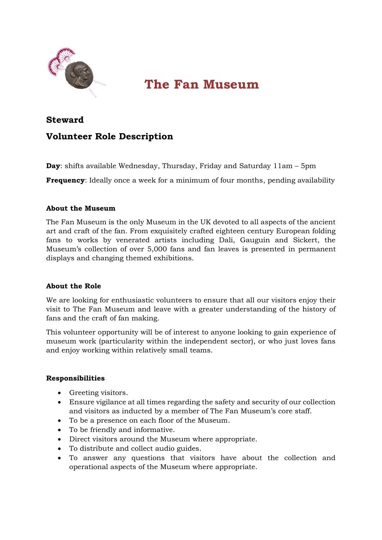

# **The Fan Museum**

# **Steward**

# **Volunteer Role Description**

**Day**: shifts available Wednesday, Thursday, Friday and Saturday 11am – 5pm

**Frequency**: Ideally once a week for a minimum of four months, pending availability

## **About the Museum**

The Fan Museum is the only Museum in the UK devoted to all aspects of the ancient art and craft of the fan. From exquisitely crafted eighteen century European folding fans to works by venerated artists including Dali, Gauguin and Sickert, the Museum's collection of over 5,000 fans and fan leaves is presented in permanent displays and changing themed exhibitions.

#### **About the Role**

We are looking for enthusiastic volunteers to ensure that all our visitors enjoy their visit to The Fan Museum and leave with a greater understanding of the history of fans and the craft of fan making.

This volunteer opportunity will be of interest to anyone looking to gain experience of museum work (particularity within the independent sector), or who just loves fans and enjoy working within relatively small teams.

#### **Responsibilities**

- Greeting visitors.
- Ensure vigilance at all times regarding the safety and security of our collection and visitors as inducted by a member of The Fan Museum's core staff.
- To be a presence on each floor of the Museum.
- To be friendly and informative.
- Direct visitors around the Museum where appropriate.
- To distribute and collect audio guides.
- To answer any questions that visitors have about the collection and operational aspects of the Museum where appropriate.